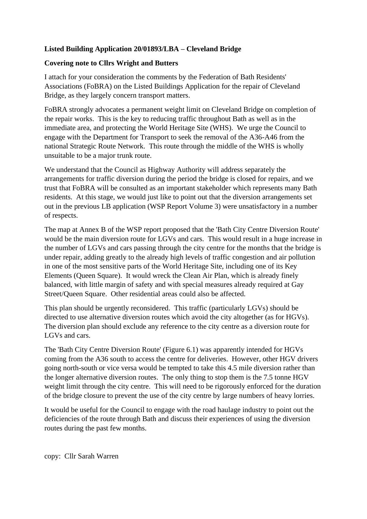## **Listed Building Application 20/01893/LBA – Cleveland Bridge**

## **Covering note to Cllrs Wright and Butters**

I attach for your consideration the comments by the Federation of Bath Residents' Associations (FoBRA) on the Listed Buildings Application for the repair of Cleveland Bridge, as they largely concern transport matters.

FoBRA strongly advocates a permanent weight limit on Cleveland Bridge on completion of the repair works. This is the key to reducing traffic throughout Bath as well as in the immediate area, and protecting the World Heritage Site (WHS). We urge the Council to engage with the Department for Transport to seek the removal of the A36-A46 from the national Strategic Route Network. This route through the middle of the WHS is wholly unsuitable to be a major trunk route.

We understand that the Council as Highway Authority will address separately the arrangements for traffic diversion during the period the bridge is closed for repairs, and we trust that FoBRA will be consulted as an important stakeholder which represents many Bath residents. At this stage, we would just like to point out that the diversion arrangements set out in the previous LB application (WSP Report Volume 3) were unsatisfactory in a number of respects.

The map at Annex B of the WSP report proposed that the 'Bath City Centre Diversion Route' would be the main diversion route for LGVs and cars. This would result in a huge increase in the number of LGVs and cars passing through the city centre for the months that the bridge is under repair, adding greatly to the already high levels of traffic congestion and air pollution in one of the most sensitive parts of the World Heritage Site, including one of its Key Elements (Queen Square). It would wreck the Clean Air Plan, which is already finely balanced, with little margin of safety and with special measures already required at Gay Street/Queen Square. Other residential areas could also be affected.

This plan should be urgently reconsidered. This traffic (particularly LGVs) should be directed to use alternative diversion routes which avoid the city altogether (as for HGVs). The diversion plan should exclude any reference to the city centre as a diversion route for LGVs and cars.

The 'Bath City Centre Diversion Route' (Figure 6.1) was apparently intended for HGVs coming from the A36 south to access the centre for deliveries. However, other HGV drivers going north-south or vice versa would be tempted to take this 4.5 mile diversion rather than the longer alternative diversion routes. The only thing to stop them is the 7.5 tonne HGV weight limit through the city centre. This will need to be rigorously enforced for the duration of the bridge closure to prevent the use of the city centre by large numbers of heavy lorries.

It would be useful for the Council to engage with the road haulage industry to point out the deficiencies of the route through Bath and discuss their experiences of using the diversion routes during the past few months.

copy: Cllr Sarah Warren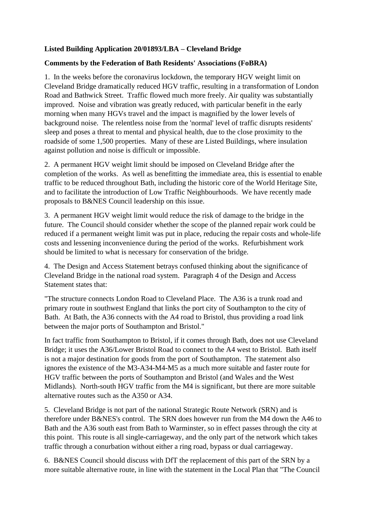## **Listed Building Application 20/01893/LBA – Cleveland Bridge**

## **Comments by the Federation of Bath Residents' Associations (FoBRA)**

1. In the weeks before the coronavirus lockdown, the temporary HGV weight limit on Cleveland Bridge dramatically reduced HGV traffic, resulting in a transformation of London Road and Bathwick Street. Traffic flowed much more freely. Air quality was substantially improved. Noise and vibration was greatly reduced, with particular benefit in the early morning when many HGVs travel and the impact is magnified by the lower levels of background noise. The relentless noise from the 'normal' level of traffic disrupts residents' sleep and poses a threat to mental and physical health, due to the close proximity to the roadside of some 1,500 properties. Many of these are Listed Buildings, where insulation against pollution and noise is difficult or impossible.

2. A permanent HGV weight limit should be imposed on Cleveland Bridge after the completion of the works. As well as benefitting the immediate area, this is essential to enable traffic to be reduced throughout Bath, including the historic core of the World Heritage Site, and to facilitate the introduction of Low Traffic Neighbourhoods. We have recently made proposals to B&NES Council leadership on this issue.

3. A permanent HGV weight limit would reduce the risk of damage to the bridge in the future. The Council should consider whether the scope of the planned repair work could be reduced if a permanent weight limit was put in place, reducing the repair costs and whole-life costs and lessening inconvenience during the period of the works. Refurbishment work should be limited to what is necessary for conservation of the bridge.

4. The Design and Access Statement betrays confused thinking about the significance of Cleveland Bridge in the national road system. Paragraph 4 of the Design and Access Statement states that:

"The structure connects London Road to Cleveland Place. The A36 is a trunk road and primary route in southwest England that links the port city of Southampton to the city of Bath. At Bath, the A36 connects with the A4 road to Bristol, thus providing a road link between the major ports of Southampton and Bristol."

In fact traffic from Southampton to Bristol, if it comes through Bath, does not use Cleveland Bridge; it uses the A36/Lower Bristol Road to connect to the A4 west to Bristol. Bath itself is not a major destination for goods from the port of Southampton. The statement also ignores the existence of the M3-A34-M4-M5 as a much more suitable and faster route for HGV traffic between the ports of Southampton and Bristol (and Wales and the West Midlands). North-south HGV traffic from the M4 is significant, but there are more suitable alternative routes such as the A350 or A34.

5. Cleveland Bridge is not part of the national Strategic Route Network (SRN) and is therefore under B&NES's control. The SRN does however run from the M4 down the A46 to Bath and the A36 south east from Bath to Warminster, so in effect passes through the city at this point. This route is all single-carriageway, and the only part of the network which takes traffic through a conurbation without either a ring road, bypass or dual carriageway.

6. B&NES Council should discuss with DfT the replacement of this part of the SRN by a more suitable alternative route, in line with the statement in the Local Plan that "The Council